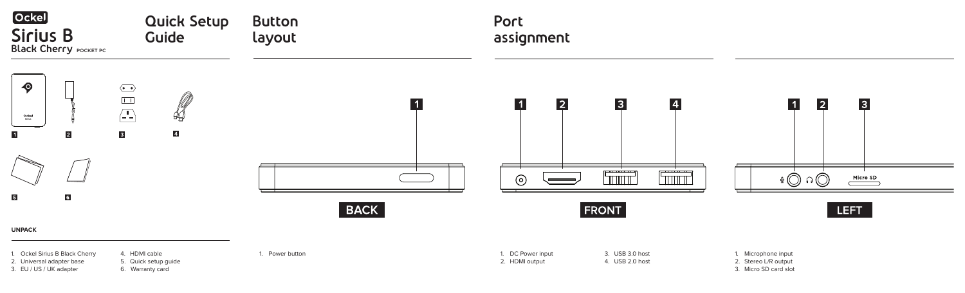2. Universal adapter base

3. EU / US / UK adapter



5. Quick setup guide

6. Warranty card

2. HDMI output

4. USB 2.0 host





- 1. Microphone input
- 2. Stereo L/R output
- 3. Micro SD card slot